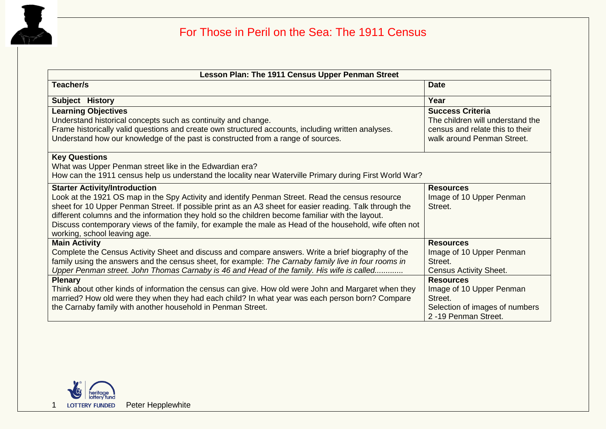

| Lesson Plan: The 1911 Census Upper Penman Street                                                                                                                                                                                                                                                                                                                                                                                                                                                   |                                                                                                                              |  |  |  |  |  |  |  |
|----------------------------------------------------------------------------------------------------------------------------------------------------------------------------------------------------------------------------------------------------------------------------------------------------------------------------------------------------------------------------------------------------------------------------------------------------------------------------------------------------|------------------------------------------------------------------------------------------------------------------------------|--|--|--|--|--|--|--|
| Teacher/s                                                                                                                                                                                                                                                                                                                                                                                                                                                                                          | <b>Date</b>                                                                                                                  |  |  |  |  |  |  |  |
| Subject History                                                                                                                                                                                                                                                                                                                                                                                                                                                                                    | Year                                                                                                                         |  |  |  |  |  |  |  |
| <b>Learning Objectives</b><br>Understand historical concepts such as continuity and change.<br>Frame historically valid questions and create own structured accounts, including written analyses.<br>Understand how our knowledge of the past is constructed from a range of sources.                                                                                                                                                                                                              | <b>Success Criteria</b><br>The children will understand the<br>census and relate this to their<br>walk around Penman Street. |  |  |  |  |  |  |  |
| <b>Key Questions</b><br>What was Upper Penman street like in the Edwardian era?<br>How can the 1911 census help us understand the locality near Waterville Primary during First World War?                                                                                                                                                                                                                                                                                                         |                                                                                                                              |  |  |  |  |  |  |  |
| <b>Starter Activity/Introduction</b><br>Look at the 1921 OS map in the Spy Activity and identify Penman Street. Read the census resource<br>sheet for 10 Upper Penman Street. If possible print as an A3 sheet for easier reading. Talk through the<br>different columns and the information they hold so the children become familiar with the layout.<br>Discuss contemporary views of the family, for example the male as Head of the household, wife often not<br>working, school leaving age. | <b>Resources</b><br>Image of 10 Upper Penman<br>Street.                                                                      |  |  |  |  |  |  |  |
| <b>Main Activity</b><br>Complete the Census Activity Sheet and discuss and compare answers. Write a brief biography of the<br>family using the answers and the census sheet, for example: The Carnaby family live in four rooms in<br>Upper Penman street. John Thomas Carnaby is 46 and Head of the family. His wife is called                                                                                                                                                                    | <b>Resources</b><br>Image of 10 Upper Penman<br>Street.<br><b>Census Activity Sheet.</b>                                     |  |  |  |  |  |  |  |
| <b>Plenary</b><br>Think about other kinds of information the census can give. How old were John and Margaret when they<br>married? How old were they when they had each child? In what year was each person born? Compare<br>the Carnaby family with another household in Penman Street.                                                                                                                                                                                                           | <b>Resources</b><br>Image of 10 Upper Penman<br>Street.<br>Selection of images of numbers<br>2-19 Penman Street.             |  |  |  |  |  |  |  |

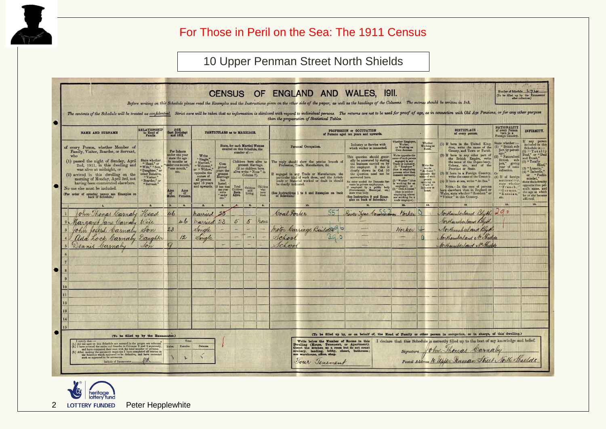

## For Those in Peril on the Sea: The 1911 Census

## 10 Upper Penman Street North Shields

| <b>NAME AND SURNAME</b>                                                                                                                                                                                                           |                                                                                                                                                                                | PARTICULARS as to MARRIAGE. |                                                                                                               |                                                                                                                                            |                                                                                                                                                                                                                         |                                     |                              | PROFESSION or OCCUPATION                                                                                                                                                                                                   | <b>BIRTHPLACE</b><br>of every person. | <b>NATIONALITY</b><br>of every Person<br>born in a<br>Foreign Country.                                                                                                                 | INFIRMITY.                                                                                                                                                                                                         |                                                                                                                                                                                                                                      |                                                                                                                                                                                                                                                      |                                                                                                                                                   |                                                                                                                                                                          |                                                               |                                                                                                                    |
|-----------------------------------------------------------------------------------------------------------------------------------------------------------------------------------------------------------------------------------|--------------------------------------------------------------------------------------------------------------------------------------------------------------------------------|-----------------------------|---------------------------------------------------------------------------------------------------------------|--------------------------------------------------------------------------------------------------------------------------------------------|-------------------------------------------------------------------------------------------------------------------------------------------------------------------------------------------------------------------------|-------------------------------------|------------------------------|----------------------------------------------------------------------------------------------------------------------------------------------------------------------------------------------------------------------------|---------------------------------------|----------------------------------------------------------------------------------------------------------------------------------------------------------------------------------------|--------------------------------------------------------------------------------------------------------------------------------------------------------------------------------------------------------------------|--------------------------------------------------------------------------------------------------------------------------------------------------------------------------------------------------------------------------------------|------------------------------------------------------------------------------------------------------------------------------------------------------------------------------------------------------------------------------------------------------|---------------------------------------------------------------------------------------------------------------------------------------------------|--------------------------------------------------------------------------------------------------------------------------------------------------------------------------|---------------------------------------------------------------|--------------------------------------------------------------------------------------------------------------------|
| of every Person, whether Member of                                                                                                                                                                                                | RELATIONSHIP<br>to Head of<br>Family.<br><b>State whether</b><br>"Head," or<br>'Wife," "Son,'<br>Daughter," or<br>other Relative,<br>"Visitor,"<br>"Boarder." or<br>"Servant." |                             | $\begin{array}{c}\n\textbf{AGE} \\ \textbf{last} \text{ Birthday)} \\ \textbf{and} \text{ SEX}.\n\end{array}$ | Write<br>"Single,"<br>"Married,"<br>' Widower,'<br>or "Widow,"<br>opposite the<br>names of<br>all persons<br>aged 15 years<br>and upwards. | <b>State, for each Married Woman</b>                                                                                                                                                                                    |                                     |                              | Personal Occupation.                                                                                                                                                                                                       |                                       |                                                                                                                                                                                        | of Persons aged ten years and upwards.<br>Whether Employer<br>Whether<br>Industry or Service with<br>Working at<br>or Working on<br>which worker is connected.                                                     |                                                                                                                                                                                                                                      |                                                                                                                                                                                                                                                      | (1) If born in the United King-<br>dom, write the name of the                                                                                     | State whether :-<br>(1) "British sub-                                                                                                                                    | If any person<br>included in this<br>Schedule is :-           |                                                                                                                    |
| Family, Visitor, Boarder, or Servant,<br>who<br>(1) passed the night of Sunday, April<br>2nd, 1911, in this dwelling and<br>was alive at midnight, or<br>(2) arrived in this dwelling on the<br>morning of Monday, April 3rd, not |                                                                                                                                                                                |                             | For Infants<br>under one vear<br>state the age<br>in months as<br>nder one month<br>" one month,"<br>etc.     |                                                                                                                                            | entered on this Schedule, the<br>number of :-<br>Children born alive to<br>Com<br>present Marriage.<br>pleted<br>(If no children born<br>years the<br>alive write "None" in<br>present<br>Marriage<br>Column 7).<br>has |                                     |                              | The reply should show the precise branch of Profession, Trade, Manufacture, &c.<br>engaged in any Trade or Manufacture, the<br>particular kind of work done, and the Article<br>made or Material worked or dealt in should |                                       | This question should generally be answered by stating<br>the business carried on by<br>the employer. If this is clearly shown in Col. 10<br>the question need not be<br>answered here. | Own Account.<br>Write opposite the<br>name of each person<br>engaged in any<br>Trade or Industry,<br>(1) "Employer"<br>(that is employing<br>persons other than<br>lomestic servants).<br>or<br>(2) "Worker" (that | Write the<br>words<br>"At Home"<br>opposite the<br>person                                                                                                                                                                            | County, and Town or Parish.<br>(2) If born in any other part of the British Empire, write<br>the name of the Dependency,<br>Colony, etc., and of the<br>Province or State.<br>(3) If born in a Foreign Country, Or<br>write the name of the Country. | ject by parent-<br>age.<br>(2) "Naturalised<br>British sub-<br>ject," giving<br>year of natu-<br>ralisation.<br>(3) If of foreign<br>nationality. | $(1)$ "Totall"<br>Deaf," or "Deaf<br>(2) "Totally<br><b>Blind</b><br>$(3)$ "Lunatic,"<br>(4) " Imbecile.<br>or "Feeble<br>minded."                                       |                                                               |                                                                                                                    |
| having been enumerated elsewhere.<br>No one else must be included.<br>(For order of entering names see Examples on back of Schedule.)                                                                                             |                                                                                                                                                                                | Males                       | Ages<br>Female                                                                                                |                                                                                                                                            | lasted.<br>If less than<br>one year<br>write<br>" under<br>cma.                                                                                                                                                         | Total<br>Children<br>Born<br>Alive. | Children<br>still<br>Living. | Children<br>who<br>have<br>Died                                                                                                                                                                                            | be clearly indicated.                 |                                                                                                                                                                                        | (See Instructions 1 to 8 and Examples on back of Schedule.)                                                                                                                                                        | No entry needed for Domestic Ser-<br>No entry means in private employment.<br>If employed by a public b<br>(Government, Municipal,<br>state what body.<br>body<br>etc.<br>(See Instruction 9 and Exam-<br>ples on back of Schedule.) | is working for an<br>employer), or<br>(that is neither<br>employing others<br>nor working for a<br>trade employer).                                                                                                                                  | carrying on<br>Trade or<br>Industry at<br>home.                                                                                                   | (4) If born at sea, write "At Sea.'<br>NOTE-In the case of persons<br>born elsewhere than in England or Wales, state whether "Resident" or<br>"Visitor" in this Country. | state whether<br>"French."<br>"German,"<br>"Russian,"<br>etc. | state the infirmity<br>opposite that per-<br>son's name, and<br>the age at which<br>he or she became<br>afflicted. |
|                                                                                                                                                                                                                                   | 2.<br>Head                                                                                                                                                                     | 3.<br>46                    | $\ddot{ }$                                                                                                    | $\overline{\mathbf{5}}$ .                                                                                                                  | 6.                                                                                                                                                                                                                      | $\overline{\mathcal{A}}$ .          | B <sub>z</sub>               | 9.1                                                                                                                                                                                                                        | Coal Porter                           | 10.                                                                                                                                                                                    | 55                                                                                                                                                                                                                 | $\mathbf{n}$ .<br>River Lyne Commission                                                                                                                                                                                              | 12.                                                                                                                                                                                                                                                  | 13.<br>$\circ$                                                                                                                                    | Northumberland Bluth                                                                                                                                                     | 15.<br>290                                                    | 16.                                                                                                                |
| ohn Thomas Carnaby                                                                                                                                                                                                                |                                                                                                                                                                                |                             | 46                                                                                                            | married                                                                                                                                    | 23                                                                                                                                                                                                                      | 5                                   | 5                            | rone                                                                                                                                                                                                                       |                                       |                                                                                                                                                                                        |                                                                                                                                                                                                                    |                                                                                                                                                                                                                                      | Horker                                                                                                                                                                                                                                               |                                                                                                                                                   | Northuniberland Blyth                                                                                                                                                    |                                                               |                                                                                                                    |
| Hargaret are Carnaby Wife<br>2 <sub>k</sub><br>John Joseph Camalu                                                                                                                                                                 | gron                                                                                                                                                                           | 23                          |                                                                                                               | narried<br>Single                                                                                                                          |                                                                                                                                                                                                                         |                                     |                              |                                                                                                                                                                                                                            |                                       |                                                                                                                                                                                        | notor Carriage Buildes<br>$\sigma$                                                                                                                                                                                 |                                                                                                                                                                                                                                      | Worker                                                                                                                                                                                                                                               |                                                                                                                                                   | Northumberland Blyn                                                                                                                                                      |                                                               |                                                                                                                    |
| Ida Lock Carnaly Daughter                                                                                                                                                                                                         |                                                                                                                                                                                |                             | 12                                                                                                            | Single                                                                                                                                     |                                                                                                                                                                                                                         | ╾                                   | $\overline{\phantom{0}}$     |                                                                                                                                                                                                                            | School                                |                                                                                                                                                                                        | $\circ$                                                                                                                                                                                                            |                                                                                                                                                                                                                                      | $\frac{1}{2}$                                                                                                                                                                                                                                        |                                                                                                                                                   | Corthemiland No Shields                                                                                                                                                  |                                                               |                                                                                                                    |
| Dennis Carnaby                                                                                                                                                                                                                    | son                                                                                                                                                                            |                             |                                                                                                               |                                                                                                                                            |                                                                                                                                                                                                                         |                                     |                              |                                                                                                                                                                                                                            | School                                |                                                                                                                                                                                        |                                                                                                                                                                                                                    |                                                                                                                                                                                                                                      |                                                                                                                                                                                                                                                      |                                                                                                                                                   | Northumberland N. Shields                                                                                                                                                |                                                               |                                                                                                                    |
|                                                                                                                                                                                                                                   |                                                                                                                                                                                |                             |                                                                                                               |                                                                                                                                            |                                                                                                                                                                                                                         |                                     |                              |                                                                                                                                                                                                                            |                                       |                                                                                                                                                                                        |                                                                                                                                                                                                                    |                                                                                                                                                                                                                                      |                                                                                                                                                                                                                                                      |                                                                                                                                                   |                                                                                                                                                                          |                                                               |                                                                                                                    |
|                                                                                                                                                                                                                                   |                                                                                                                                                                                |                             |                                                                                                               |                                                                                                                                            |                                                                                                                                                                                                                         |                                     |                              |                                                                                                                                                                                                                            |                                       |                                                                                                                                                                                        |                                                                                                                                                                                                                    |                                                                                                                                                                                                                                      |                                                                                                                                                                                                                                                      |                                                                                                                                                   |                                                                                                                                                                          |                                                               |                                                                                                                    |
|                                                                                                                                                                                                                                   |                                                                                                                                                                                |                             |                                                                                                               |                                                                                                                                            |                                                                                                                                                                                                                         |                                     |                              |                                                                                                                                                                                                                            |                                       |                                                                                                                                                                                        |                                                                                                                                                                                                                    |                                                                                                                                                                                                                                      |                                                                                                                                                                                                                                                      |                                                                                                                                                   |                                                                                                                                                                          |                                                               |                                                                                                                    |
|                                                                                                                                                                                                                                   |                                                                                                                                                                                |                             |                                                                                                               |                                                                                                                                            |                                                                                                                                                                                                                         |                                     |                              |                                                                                                                                                                                                                            |                                       |                                                                                                                                                                                        |                                                                                                                                                                                                                    |                                                                                                                                                                                                                                      |                                                                                                                                                                                                                                                      |                                                                                                                                                   |                                                                                                                                                                          |                                                               |                                                                                                                    |
|                                                                                                                                                                                                                                   |                                                                                                                                                                                |                             |                                                                                                               |                                                                                                                                            |                                                                                                                                                                                                                         |                                     |                              |                                                                                                                                                                                                                            |                                       |                                                                                                                                                                                        |                                                                                                                                                                                                                    |                                                                                                                                                                                                                                      |                                                                                                                                                                                                                                                      |                                                                                                                                                   |                                                                                                                                                                          |                                                               |                                                                                                                    |
|                                                                                                                                                                                                                                   |                                                                                                                                                                                |                             |                                                                                                               |                                                                                                                                            |                                                                                                                                                                                                                         |                                     |                              |                                                                                                                                                                                                                            |                                       |                                                                                                                                                                                        |                                                                                                                                                                                                                    |                                                                                                                                                                                                                                      |                                                                                                                                                                                                                                                      |                                                                                                                                                   |                                                                                                                                                                          |                                                               |                                                                                                                    |
|                                                                                                                                                                                                                                   |                                                                                                                                                                                |                             |                                                                                                               |                                                                                                                                            |                                                                                                                                                                                                                         |                                     |                              |                                                                                                                                                                                                                            |                                       |                                                                                                                                                                                        |                                                                                                                                                                                                                    |                                                                                                                                                                                                                                      |                                                                                                                                                                                                                                                      |                                                                                                                                                   |                                                                                                                                                                          |                                                               |                                                                                                                    |
|                                                                                                                                                                                                                                   |                                                                                                                                                                                |                             |                                                                                                               |                                                                                                                                            |                                                                                                                                                                                                                         |                                     |                              |                                                                                                                                                                                                                            |                                       |                                                                                                                                                                                        |                                                                                                                                                                                                                    |                                                                                                                                                                                                                                      |                                                                                                                                                                                                                                                      |                                                                                                                                                   |                                                                                                                                                                          |                                                               |                                                                                                                    |
|                                                                                                                                                                                                                                   |                                                                                                                                                                                |                             |                                                                                                               |                                                                                                                                            |                                                                                                                                                                                                                         |                                     |                              |                                                                                                                                                                                                                            |                                       |                                                                                                                                                                                        |                                                                                                                                                                                                                    |                                                                                                                                                                                                                                      |                                                                                                                                                                                                                                                      |                                                                                                                                                   |                                                                                                                                                                          |                                                               |                                                                                                                    |
|                                                                                                                                                                                                                                   |                                                                                                                                                                                |                             |                                                                                                               |                                                                                                                                            |                                                                                                                                                                                                                         |                                     |                              |                                                                                                                                                                                                                            |                                       |                                                                                                                                                                                        |                                                                                                                                                                                                                    |                                                                                                                                                                                                                                      |                                                                                                                                                                                                                                                      |                                                                                                                                                   |                                                                                                                                                                          |                                                               |                                                                                                                    |